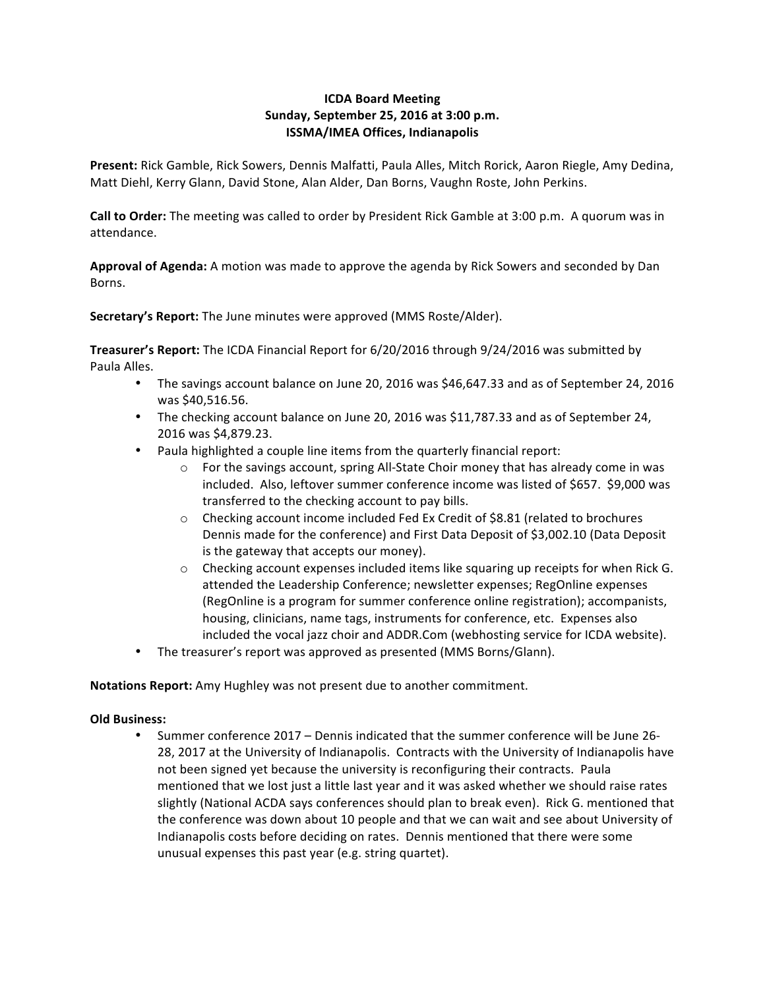# **ICDA Board Meeting Sunday, September 25, 2016 at 3:00 p.m. ISSMA/IMEA Offices, Indianapolis**

Present: Rick Gamble, Rick Sowers, Dennis Malfatti, Paula Alles, Mitch Rorick, Aaron Riegle, Amy Dedina, Matt Diehl, Kerry Glann, David Stone, Alan Alder, Dan Borns, Vaughn Roste, John Perkins.

**Call to Order:** The meeting was called to order by President Rick Gamble at 3:00 p.m. A quorum was in attendance.

Approval of Agenda: A motion was made to approve the agenda by Rick Sowers and seconded by Dan Borns.

**Secretary's Report:** The June minutes were approved (MMS Roste/Alder).

**Treasurer's Report:** The ICDA Financial Report for 6/20/2016 through 9/24/2016 was submitted by Paula Alles.

- The savings account balance on June 20, 2016 was \$46,647.33 and as of September 24, 2016 was \$40,516.56.
- The checking account balance on June 20, 2016 was \$11,787.33 and as of September 24, 2016 was \$4,879.23.
- Paula highlighted a couple line items from the quarterly financial report:
	- $\circ$  For the savings account, spring All-State Choir money that has already come in was included. Also, leftover summer conference income was listed of \$657. \$9,000 was transferred to the checking account to pay bills.
	- $\circ$  Checking account income included Fed Ex Credit of \$8.81 (related to brochures Dennis made for the conference) and First Data Deposit of \$3,002.10 (Data Deposit is the gateway that accepts our money).
	- $\circ$  Checking account expenses included items like squaring up receipts for when Rick G. attended the Leadership Conference; newsletter expenses; RegOnline expenses (RegOnline is a program for summer conference online registration); accompanists, housing, clinicians, name tags, instruments for conference, etc. Expenses also included the vocal jazz choir and ADDR.Com (webhosting service for ICDA website).
- The treasurer's report was approved as presented (MMS Borns/Glann).

**Notations Report:** Amy Hughley was not present due to another commitment.

# **Old Business:**

• Summer conference 2017 – Dennis indicated that the summer conference will be June 26-28, 2017 at the University of Indianapolis. Contracts with the University of Indianapolis have not been signed yet because the university is reconfiguring their contracts. Paula mentioned that we lost just a little last year and it was asked whether we should raise rates slightly (National ACDA says conferences should plan to break even). Rick G. mentioned that the conference was down about 10 people and that we can wait and see about University of Indianapolis costs before deciding on rates. Dennis mentioned that there were some unusual expenses this past year (e.g. string quartet).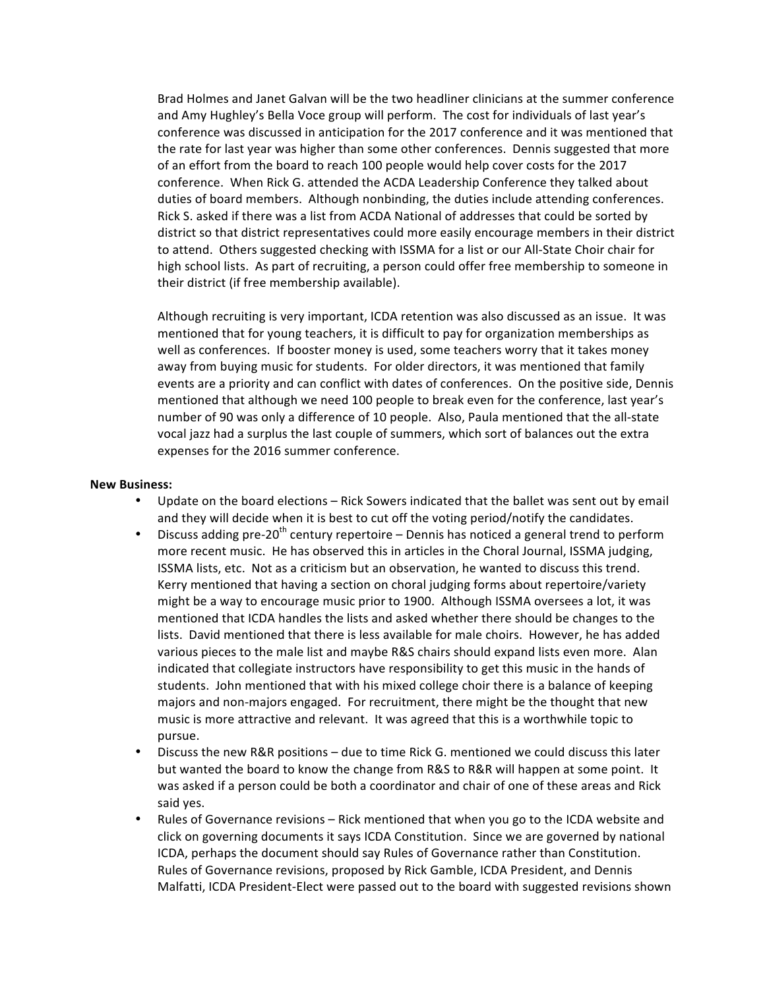Brad Holmes and Janet Galvan will be the two headliner clinicians at the summer conference and Amy Hughley's Bella Voce group will perform. The cost for individuals of last year's conference was discussed in anticipation for the 2017 conference and it was mentioned that the rate for last year was higher than some other conferences. Dennis suggested that more of an effort from the board to reach 100 people would help cover costs for the 2017 conference. When Rick G. attended the ACDA Leadership Conference they talked about duties of board members. Although nonbinding, the duties include attending conferences. Rick S. asked if there was a list from ACDA National of addresses that could be sorted by district so that district representatives could more easily encourage members in their district to attend. Others suggested checking with ISSMA for a list or our All-State Choir chair for high school lists. As part of recruiting, a person could offer free membership to someone in their district (if free membership available).

Although recruiting is very important, ICDA retention was also discussed as an issue. It was mentioned that for young teachers, it is difficult to pay for organization memberships as well as conferences. If booster money is used, some teachers worry that it takes money away from buying music for students. For older directors, it was mentioned that family events are a priority and can conflict with dates of conferences. On the positive side, Dennis mentioned that although we need 100 people to break even for the conference, last year's number of 90 was only a difference of 10 people. Also, Paula mentioned that the all-state vocal jazz had a surplus the last couple of summers, which sort of balances out the extra expenses for the 2016 summer conference.

### **New Business:**

- Update on the board elections Rick Sowers indicated that the ballet was sent out by email and they will decide when it is best to cut off the voting period/notify the candidates.
- Discuss adding pre-20<sup>th</sup> century repertoire Dennis has noticed a general trend to perform more recent music. He has observed this in articles in the Choral Journal, ISSMA judging, ISSMA lists, etc. Not as a criticism but an observation, he wanted to discuss this trend. Kerry mentioned that having a section on choral judging forms about repertoire/variety might be a way to encourage music prior to 1900. Although ISSMA oversees a lot, it was mentioned that ICDA handles the lists and asked whether there should be changes to the lists. David mentioned that there is less available for male choirs. However, he has added various pieces to the male list and maybe R&S chairs should expand lists even more. Alan indicated that collegiate instructors have responsibility to get this music in the hands of students. John mentioned that with his mixed college choir there is a balance of keeping majors and non-majors engaged. For recruitment, there might be the thought that new music is more attractive and relevant. It was agreed that this is a worthwhile topic to pursue.
- Discuss the new R&R positions due to time Rick G. mentioned we could discuss this later but wanted the board to know the change from R&S to R&R will happen at some point. It was asked if a person could be both a coordinator and chair of one of these areas and Rick said yes.
- Rules of Governance revisions Rick mentioned that when you go to the ICDA website and click on governing documents it says ICDA Constitution. Since we are governed by national ICDA, perhaps the document should say Rules of Governance rather than Constitution. Rules of Governance revisions, proposed by Rick Gamble, ICDA President, and Dennis Malfatti, ICDA President-Elect were passed out to the board with suggested revisions shown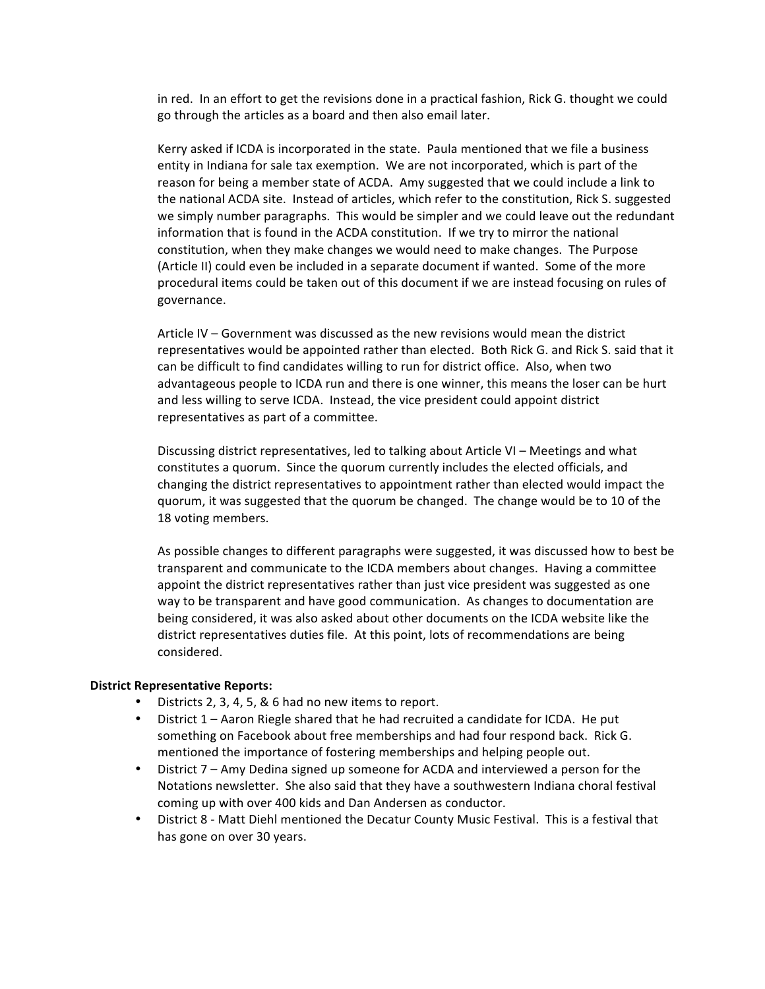in red. In an effort to get the revisions done in a practical fashion, Rick G. thought we could go through the articles as a board and then also email later.

Kerry asked if ICDA is incorporated in the state. Paula mentioned that we file a business entity in Indiana for sale tax exemption. We are not incorporated, which is part of the reason for being a member state of ACDA. Amy suggested that we could include a link to the national ACDA site. Instead of articles, which refer to the constitution, Rick S. suggested we simply number paragraphs. This would be simpler and we could leave out the redundant information that is found in the ACDA constitution. If we try to mirror the national constitution, when they make changes we would need to make changes. The Purpose (Article II) could even be included in a separate document if wanted. Some of the more procedural items could be taken out of this document if we are instead focusing on rules of governance. 

Article IV – Government was discussed as the new revisions would mean the district representatives would be appointed rather than elected. Both Rick G. and Rick S. said that it can be difficult to find candidates willing to run for district office. Also, when two advantageous people to ICDA run and there is one winner, this means the loser can be hurt and less willing to serve ICDA. Instead, the vice president could appoint district representatives as part of a committee.

Discussing district representatives, led to talking about Article  $VI -$  Meetings and what constitutes a quorum. Since the quorum currently includes the elected officials, and changing the district representatives to appointment rather than elected would impact the quorum, it was suggested that the quorum be changed. The change would be to 10 of the 18 voting members.

As possible changes to different paragraphs were suggested, it was discussed how to best be transparent and communicate to the ICDA members about changes. Having a committee appoint the district representatives rather than just vice president was suggested as one way to be transparent and have good communication. As changes to documentation are being considered, it was also asked about other documents on the ICDA website like the district representatives duties file. At this point, lots of recommendations are being considered. 

#### **District Representative Reports:**

- Districts 2, 3, 4, 5, & 6 had no new items to report.
- District  $1 -$  Aaron Riegle shared that he had recruited a candidate for ICDA. He put something on Facebook about free memberships and had four respond back. Rick G. mentioned the importance of fostering memberships and helping people out.
- District 7 Amy Dedina signed up someone for ACDA and interviewed a person for the Notations newsletter. She also said that they have a southwestern Indiana choral festival coming up with over 400 kids and Dan Andersen as conductor.
- District 8 Matt Diehl mentioned the Decatur County Music Festival. This is a festival that has gone on over 30 years.